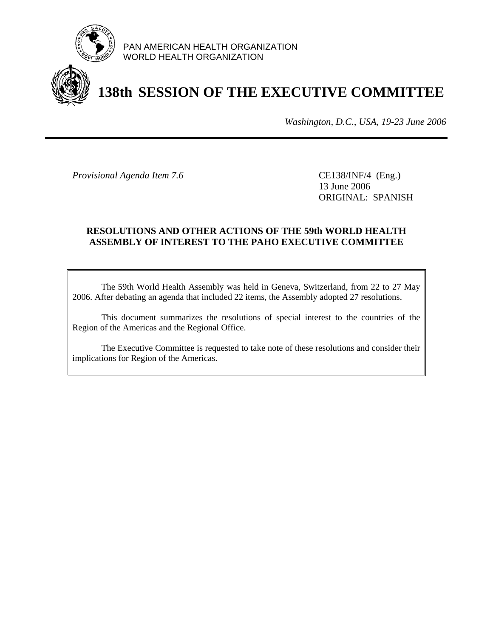

PAN AMERICAN HEALTH ORGANIZATION WORLD HEALTH ORGANIZATION

# **138th SESSION OF THE EXECUTIVE COMMITTEE**

*Washington, D.C., USA, 19-23 June 2006*

*Provisional Agenda Item 7.6* CE138/INF/4 (Eng.)

 13 June 2006 ORIGINAL: SPANISH

#### **RESOLUTIONS AND OTHER ACTIONS OF THE 59th WORLD HEALTH ASSEMBLY OF INTEREST TO THE PAHO EXECUTIVE COMMITTEE**

 The 59th World Health Assembly was held in Geneva, Switzerland, from 22 to 27 May 2006. After debating an agenda that included 22 items, the Assembly adopted 27 resolutions.

 This document summarizes the resolutions of special interest to the countries of the Region of the Americas and the Regional Office.

 The Executive Committee is requested to take note of these resolutions and consider their implications for Region of the Americas.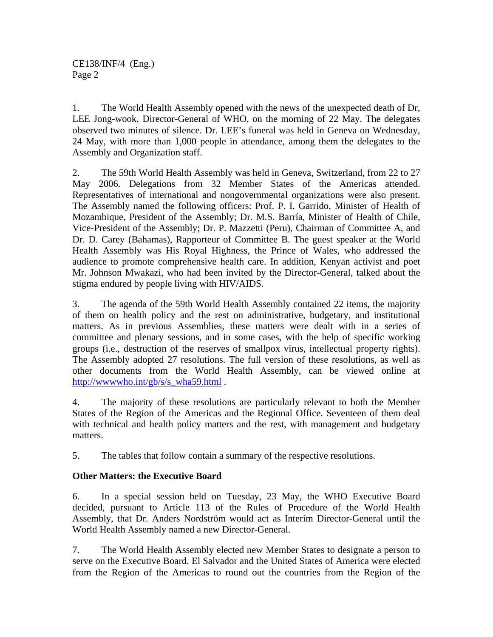1. The World Health Assembly opened with the news of the unexpected death of Dr, LEE Jong-wook, Director-General of WHO, on the morning of 22 May. The delegates observed two minutes of silence. Dr. LEE's funeral was held in Geneva on Wednesday, 24 May, with more than 1,000 people in attendance, among them the delegates to the Assembly and Organization staff.

2. The 59th World Health Assembly was held in Geneva, Switzerland, from 22 to 27 May 2006. Delegations from 32 Member States of the Americas attended. Representatives of international and nongovernmental organizations were also present. The Assembly named the following officers: Prof. P. I. Garrido, Minister of Health of Mozambique, President of the Assembly; Dr. M.S. Barría, Minister of Health of Chile, Vice-President of the Assembly; Dr. P. Mazzetti (Peru), Chairman of Committee A, and Dr. D. Carey (Bahamas), Rapporteur of Committee B. The guest speaker at the World Health Assembly was His Royal Highness, the Prince of Wales, who addressed the audience to promote comprehensive health care. In addition, Kenyan activist and poet Mr. Johnson Mwakazi, who had been invited by the Director-General, talked about the stigma endured by people living with HIV/AIDS.

3. The agenda of the 59th World Health Assembly contained 22 items, the majority of them on health policy and the rest on administrative, budgetary, and institutional matters. As in previous Assemblies, these matters were dealt with in a series of committee and plenary sessions, and in some cases, with the help of specific working groups (i.e., destruction of the reserves of smallpox virus, intellectual property rights). The Assembly adopted 27 resolutions. The full version of these resolutions, as well as other documents from the World Health Assembly, can be viewed online at http://www.who.int/gb/s/s\_wha59.html .

4. The majority of these resolutions are particularly relevant to both the Member States of the Region of the Americas and the Regional Office. Seventeen of them deal with technical and health policy matters and the rest, with management and budgetary matters.

5. The tables that follow contain a summary of the respective resolutions.

### **Other Matters: the Executive Board**

6. In a special session held on Tuesday, 23 May, the WHO Executive Board decided, pursuant to Article 113 of the Rules of Procedure of the World Health Assembly, that Dr. Anders Nordström would act as Interim Director-General until the World Health Assembly named a new Director-General.

7. The World Health Assembly elected new Member States to designate a person to serve on the Executive Board. El Salvador and the United States of America were elected from the Region of the Americas to round out the countries from the Region of the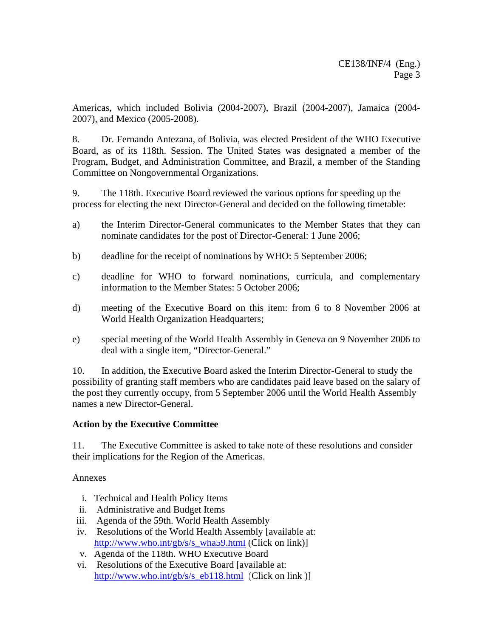Americas, which included Bolivia (2004-2007), Brazil (2004-2007), Jamaica (2004- 2007), and Mexico (2005-2008).

8. Dr. Fernando Antezana, of Bolivia, was elected President of the WHO Executive Board, as of its 118th. Session. The United States was designated a member of the Program, Budget, and Administration Committee, and Brazil, a member of the Standing Committee on Nongovernmental Organizations.

9. The 118th. Executive Board reviewed the various options for speeding up the process for electing the next Director-General and decided on the following timetable:

- a) the Interim Director-General communicates to the Member States that they can nominate candidates for the post of Director-General: 1 June 2006;
- b) deadline for the receipt of nominations by WHO: 5 September 2006;
- c) deadline for WHO to forward nominations, curricula, and complementary information to the Member States: 5 October 2006;
- d) meeting of the Executive Board on this item: from 6 to 8 November 2006 at World Health Organization Headquarters;
- e) special meeting of the World Health Assembly in Geneva on 9 November 2006 to deal with a single item, "Director-General."

10. In addition, the Executive Board asked the Interim Director-General to study the possibility of granting staff members who are candidates paid leave based on the salary of the post they currently occupy, from 5 September 2006 until the World Health Assembly names a new Director-General.

#### **Action by the Executive Committee**

11. The Executive Committee is asked to take note of these resolutions and consider their implications for the Region of the Americas.

Annexes

- i. Technical and Health Policy Items
- ii. Administrative and Budget Items
- iii. Agenda of the 59th. World Health Assembly
- iv. Resolutions of the World Health Assembly [available at: [http://www.who.int/gb/s/s\\_wha59.html \(](http://www.who.int/gb/e/e_wha59.html)Click on link)]
- v. Agenda of the 118th. WHO Executive Board
- vi. Resolutions of the Executive Board [available at: [http://www.who.int/gb/s/s\\_eb118.html \(](http://www.who.int/gb/e/e_eb118.html)Click on link )]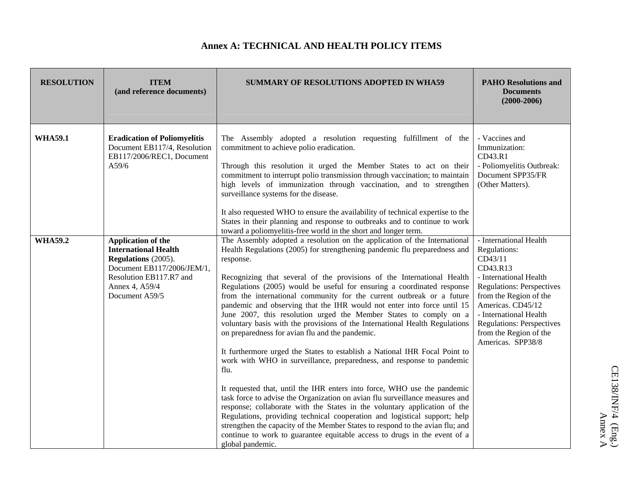#### **Annex A: TECHNICAL AND HEALTH POLICY ITEMS**

| <b>RESOLUTION</b> | <b>ITEM</b><br>(and reference documents)                                                                                                                              | <b>SUMMARY OF RESOLUTIONS ADOPTED IN WHA59</b>                                                                                                                                                                                                                                                                                                                                                                                                                                                                                                                                                                                                                                                                                                                                                                                                                                                                                                                                                                                                                                                                                                                                                                                                                                                                                                            | <b>PAHO Resolutions and</b><br><b>Documents</b><br>$(2000-2006)$                                                                                                                                                                                                                        |
|-------------------|-----------------------------------------------------------------------------------------------------------------------------------------------------------------------|-----------------------------------------------------------------------------------------------------------------------------------------------------------------------------------------------------------------------------------------------------------------------------------------------------------------------------------------------------------------------------------------------------------------------------------------------------------------------------------------------------------------------------------------------------------------------------------------------------------------------------------------------------------------------------------------------------------------------------------------------------------------------------------------------------------------------------------------------------------------------------------------------------------------------------------------------------------------------------------------------------------------------------------------------------------------------------------------------------------------------------------------------------------------------------------------------------------------------------------------------------------------------------------------------------------------------------------------------------------|-----------------------------------------------------------------------------------------------------------------------------------------------------------------------------------------------------------------------------------------------------------------------------------------|
| <b>WHA59.1</b>    | <b>Eradication of Poliomyelitis</b><br>Document EB117/4, Resolution<br>EB117/2006/REC1, Document<br>A59/6                                                             | The Assembly adopted a resolution requesting fulfillment of the<br>commitment to achieve polio eradication.<br>Through this resolution it urged the Member States to act on their<br>commitment to interrupt polio transmission through vaccination; to maintain<br>high levels of immunization through vaccination, and to strengthen<br>surveillance systems for the disease.<br>It also requested WHO to ensure the availability of technical expertise to the<br>States in their planning and response to outbreaks and to continue to work<br>toward a poliomyelitis-free world in the short and longer term.                                                                                                                                                                                                                                                                                                                                                                                                                                                                                                                                                                                                                                                                                                                                        | - Vaccines and<br>Immunization:<br>CD43.R1<br>- Poliomyelitis Outbreak:<br>Document SPP35/FR<br>(Other Matters).                                                                                                                                                                        |
| <b>WHA59.2</b>    | Application of the<br><b>International Health</b><br>Regulations (2005).<br>Document EB117/2006/JEM/1,<br>Resolution EB117.R7 and<br>Annex 4, A59/4<br>Document A59/5 | The Assembly adopted a resolution on the application of the International<br>Health Regulations (2005) for strengthening pandemic flu preparedness and<br>response.<br>Recognizing that several of the provisions of the International Health<br>Regulations (2005) would be useful for ensuring a coordinated response<br>from the international community for the current outbreak or a future<br>pandemic and observing that the IHR would not enter into force until 15<br>June 2007, this resolution urged the Member States to comply on a<br>voluntary basis with the provisions of the International Health Regulations<br>on preparedness for avian flu and the pandemic.<br>It furthermore urged the States to establish a National IHR Focal Point to<br>work with WHO in surveillance, preparedness, and response to pandemic<br>flu.<br>It requested that, until the IHR enters into force, WHO use the pandemic<br>task force to advise the Organization on avian flu surveillance measures and<br>response; collaborate with the States in the voluntary application of the<br>Regulations, providing technical cooperation and logistical support; help<br>strengthen the capacity of the Member States to respond to the avian flu; and<br>continue to work to guarantee equitable access to drugs in the event of a<br>global pandemic. | - International Health<br>Regulations:<br>CD43/11<br>CD43.R13<br>- International Health<br><b>Regulations: Perspectives</b><br>from the Region of the<br>Americas. CD45/12<br>- International Health<br><b>Regulations: Perspectives</b><br>from the Region of the<br>Americas. SPP38/8 |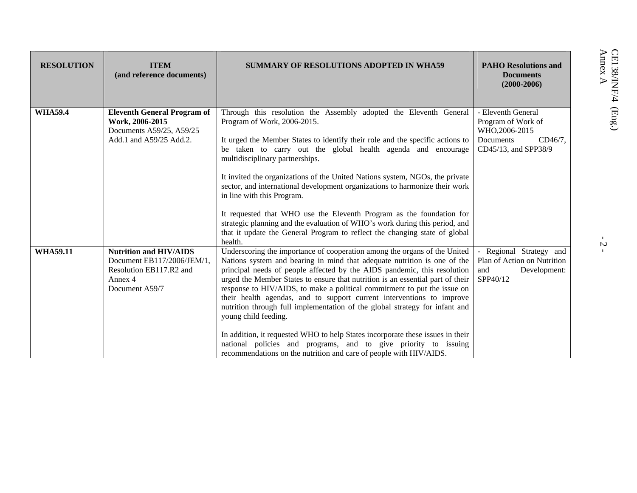| <b>RESOLUTION</b> | <b>ITEM</b><br>(and reference documents)                                                                            | <b>SUMMARY OF RESOLUTIONS ADOPTED IN WHA59</b>                                                                                                                                                                                                                                                                                                                                                                                                                                                                                                                                                                                                                                                                                                                                                             | <b>PAHO Resolutions and</b><br><b>Documents</b><br>$(2000 - 2006)$                                         | Annex A<br>CE138/INF/4                     |
|-------------------|---------------------------------------------------------------------------------------------------------------------|------------------------------------------------------------------------------------------------------------------------------------------------------------------------------------------------------------------------------------------------------------------------------------------------------------------------------------------------------------------------------------------------------------------------------------------------------------------------------------------------------------------------------------------------------------------------------------------------------------------------------------------------------------------------------------------------------------------------------------------------------------------------------------------------------------|------------------------------------------------------------------------------------------------------------|--------------------------------------------|
| <b>WHA59.4</b>    | <b>Eleventh General Program of</b><br>Work, 2006-2015<br>Documents A59/25, A59/25<br>Add.1 and A59/25 Add.2.        | Through this resolution the Assembly adopted the Eleventh General<br>Program of Work, 2006-2015.<br>It urged the Member States to identify their role and the specific actions to<br>be taken to carry out the global health agenda and encourage<br>multidisciplinary partnerships.<br>It invited the organizations of the United Nations system, NGOs, the private<br>sector, and international development organizations to harmonize their work<br>in line with this Program.<br>It requested that WHO use the Eleventh Program as the foundation for<br>strategic planning and the evaluation of WHO's work during this period, and<br>that it update the General Program to reflect the changing state of global<br>health.                                                                          | - Eleventh General<br>Program of Work of<br>WHO, 2006-2015<br>Documents<br>CD46/7.<br>CD45/13, and SPP38/9 | $(\rm{Eng.})$<br>$\boldsymbol{\mathsf{c}}$ |
| <b>WHA59.11</b>   | <b>Nutrition and HIV/AIDS</b><br>Document EB117/2006/JEM/1,<br>Resolution EB117.R2 and<br>Annex 4<br>Document A59/7 | Underscoring the importance of cooperation among the organs of the United<br>Nations system and bearing in mind that adequate nutrition is one of the<br>principal needs of people affected by the AIDS pandemic, this resolution<br>urged the Member States to ensure that nutrition is an essential part of their<br>response to HIV/AIDS, to make a political commitment to put the issue on<br>their health agendas, and to support current interventions to improve<br>nutrition through full implementation of the global strategy for infant and<br>young child feeding.<br>In addition, it requested WHO to help States incorporate these issues in their<br>national policies and programs, and to give priority to issuing<br>recommendations on the nutrition and care of people with HIV/AIDS. | Regional Strategy and<br>Plan of Action on Nutrition<br>and<br>Development:<br>SPP40/12                    |                                            |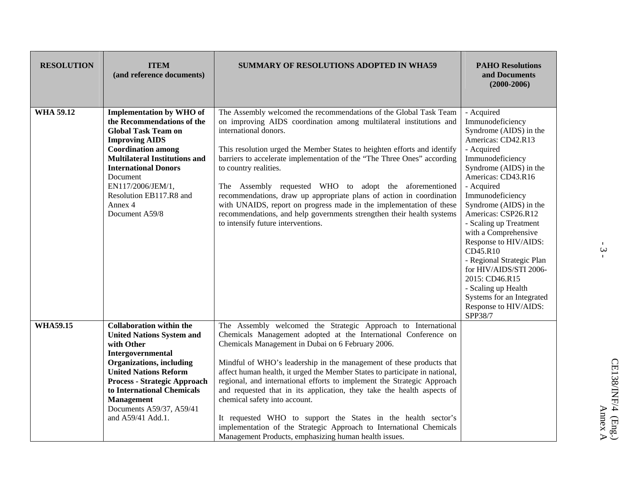| <b>RESOLUTION</b> | <b>ITEM</b><br>(and reference documents)                                                                                                                                                                                                                                                                              | <b>SUMMARY OF RESOLUTIONS ADOPTED IN WHA59</b>                                                                                                                                                                                                                                                                                                                                                                                                                                                                                                                                                                                                                                                                                      | <b>PAHO Resolutions</b><br>and Documents<br>$(2000 - 2006)$                                                                                                                                                                                                                                                                                                                                                                                                                                                 |
|-------------------|-----------------------------------------------------------------------------------------------------------------------------------------------------------------------------------------------------------------------------------------------------------------------------------------------------------------------|-------------------------------------------------------------------------------------------------------------------------------------------------------------------------------------------------------------------------------------------------------------------------------------------------------------------------------------------------------------------------------------------------------------------------------------------------------------------------------------------------------------------------------------------------------------------------------------------------------------------------------------------------------------------------------------------------------------------------------------|-------------------------------------------------------------------------------------------------------------------------------------------------------------------------------------------------------------------------------------------------------------------------------------------------------------------------------------------------------------------------------------------------------------------------------------------------------------------------------------------------------------|
| <b>WHA 59.12</b>  | <b>Implementation by WHO of</b><br>the Recommendations of the<br><b>Global Task Team on</b><br><b>Improving AIDS</b><br><b>Coordination among</b><br><b>Multilateral Institutions and</b><br><b>International Donors</b><br>Document<br>EN117/2006/JEM/1,<br>Resolution EB117.R8 and<br>Annex 4<br>Document A59/8     | The Assembly welcomed the recommendations of the Global Task Team<br>on improving AIDS coordination among multilateral institutions and<br>international donors.<br>This resolution urged the Member States to heighten efforts and identify<br>barriers to accelerate implementation of the "The Three Ones" according<br>to country realities.<br>The Assembly requested WHO to adopt the aforementioned<br>recommendations, draw up appropriate plans of action in coordination<br>with UNAIDS, report on progress made in the implementation of these<br>recommendations, and help governments strengthen their health systems<br>to intensify future interventions.                                                            | - Acquired<br>Immunodeficiency<br>Syndrome (AIDS) in the<br>Americas: CD42.R13<br>- Acquired<br>Immunodeficiency<br>Syndrome (AIDS) in the<br>Americas: CD43.R16<br>- Acquired<br>Immunodeficiency<br>Syndrome (AIDS) in the<br>Americas: CSP26.R12<br>- Scaling up Treatment<br>with a Comprehensive<br>Response to HIV/AIDS:<br>CD45.R10<br>- Regional Strategic Plan<br>for HIV/AIDS/STI 2006-<br>2015: CD46.R15<br>- Scaling up Health<br>Systems for an Integrated<br>Response to HIV/AIDS:<br>SPP38/7 |
| <b>WHA59.15</b>   | <b>Collaboration within the</b><br><b>United Nations System and</b><br>with Other<br>Intergovernmental<br><b>Organizations</b> , including<br><b>United Nations Reform</b><br><b>Process - Strategic Approach</b><br>to International Chemicals<br><b>Management</b><br>Documents A59/37, A59/41<br>and A59/41 Add.1. | The Assembly welcomed the Strategic Approach to International<br>Chemicals Management adopted at the International Conference on<br>Chemicals Management in Dubai on 6 February 2006.<br>Mindful of WHO's leadership in the management of these products that<br>affect human health, it urged the Member States to participate in national,<br>regional, and international efforts to implement the Strategic Approach<br>and requested that in its application, they take the health aspects of<br>chemical safety into account.<br>It requested WHO to support the States in the health sector's<br>implementation of the Strategic Approach to International Chemicals<br>Management Products, emphasizing human health issues. |                                                                                                                                                                                                                                                                                                                                                                                                                                                                                                             |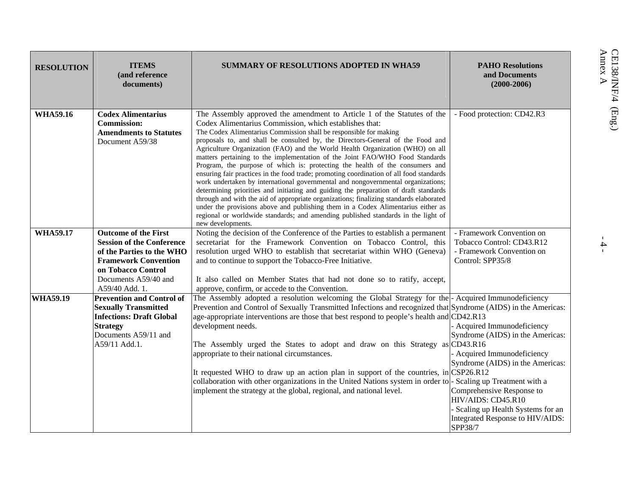| <b>RESOLUTION</b> | <b>ITEMS</b><br>(and reference<br>documents)                                                                                                                                                | SUMMARY OF RESOLUTIONS ADOPTED IN WHA59                                                                                                                                                                                                                                                                                                                                                                                                                                                                                                                                                                                                                                                                                                                                                                                                                                                                                                                                                                                                                                                                  | <b>PAHO Resolutions</b><br>and Documents<br>$(2000 - 2006)$                                                                                                                                                                                                          |  |
|-------------------|---------------------------------------------------------------------------------------------------------------------------------------------------------------------------------------------|----------------------------------------------------------------------------------------------------------------------------------------------------------------------------------------------------------------------------------------------------------------------------------------------------------------------------------------------------------------------------------------------------------------------------------------------------------------------------------------------------------------------------------------------------------------------------------------------------------------------------------------------------------------------------------------------------------------------------------------------------------------------------------------------------------------------------------------------------------------------------------------------------------------------------------------------------------------------------------------------------------------------------------------------------------------------------------------------------------|----------------------------------------------------------------------------------------------------------------------------------------------------------------------------------------------------------------------------------------------------------------------|--|
| <b>WHA59.16</b>   | <b>Codex Alimentarius</b><br><b>Commission:</b><br><b>Amendments to Statutes</b><br>Document A59/38                                                                                         | The Assembly approved the amendment to Article 1 of the Statutes of the<br>Codex Alimentarius Commission, which establishes that:<br>The Codex Alimentarius Commission shall be responsible for making<br>proposals to, and shall be consulted by, the Directors-General of the Food and<br>Agriculture Organization (FAO) and the World Health Organization (WHO) on all<br>matters pertaining to the implementation of the Joint FAO/WHO Food Standards<br>Program, the purpose of which is: protecting the health of the consumers and<br>ensuring fair practices in the food trade; promoting coordination of all food standards<br>work undertaken by international governmental and nongovernmental organizations;<br>determining priorities and initiating and guiding the preparation of draft standards<br>through and with the aid of appropriate organizations; finalizing standards elaborated<br>under the provisions above and publishing them in a Codex Alimentarius either as<br>regional or worldwide standards; and amending published standards in the light of<br>new developments. | - Food protection: CD42.R3                                                                                                                                                                                                                                           |  |
| <b>WHA59.17</b>   | <b>Outcome of the First</b><br><b>Session of the Conference</b><br>of the Parties to the WHO<br><b>Framework Convention</b><br>on Tobacco Control<br>Documents A59/40 and<br>A59/40 Add. 1. | Noting the decision of the Conference of the Parties to establish a permanent<br>secretariat for the Framework Convention on Tobacco Control, this<br>resolution urged WHO to establish that secretariat within WHO (Geneva)<br>and to continue to support the Tobacco-Free Initiative.<br>It also called on Member States that had not done so to ratify, accept,<br>approve, confirm, or accede to the Convention.                                                                                                                                                                                                                                                                                                                                                                                                                                                                                                                                                                                                                                                                                     | - Framework Convention on<br>Tobacco Control: CD43.R12<br>- Framework Convention on<br>Control: SPP35/8                                                                                                                                                              |  |
| <b>WHA59.19</b>   | <b>Prevention and Control of</b><br><b>Sexually Transmitted</b><br><b>Infections: Draft Global</b><br><b>Strategy</b><br>Documents A59/11 and<br>A59/11 Add.1.                              | The Assembly adopted a resolution welcoming the Global Strategy for the - Acquired Immunodeficiency<br>Prevention and Control of Sexually Transmitted Infections and recognized that Syndrome (AIDS) in the Americas:<br>age-appropriate interventions are those that best respond to people's health and CD42.R13<br>development needs.<br>The Assembly urged the States to adopt and draw on this Strategy as CD43.R16<br>appropriate to their national circumstances.<br>It requested WHO to draw up an action plan in support of the countries, in CSP26.R12<br>collaboration with other organizations in the United Nations system in order to  - Scaling up Treatment with a<br>implement the strategy at the global, regional, and national level.                                                                                                                                                                                                                                                                                                                                                | Acquired Immunodeficiency<br>Syndrome (AIDS) in the Americas:<br>Acquired Immunodeficiency<br>Syndrome (AIDS) in the Americas:<br>Comprehensive Response to<br>HIV/AIDS: CD45.R10<br>Scaling up Health Systems for an<br>Integrated Response to HIV/AIDS:<br>SPP38/7 |  |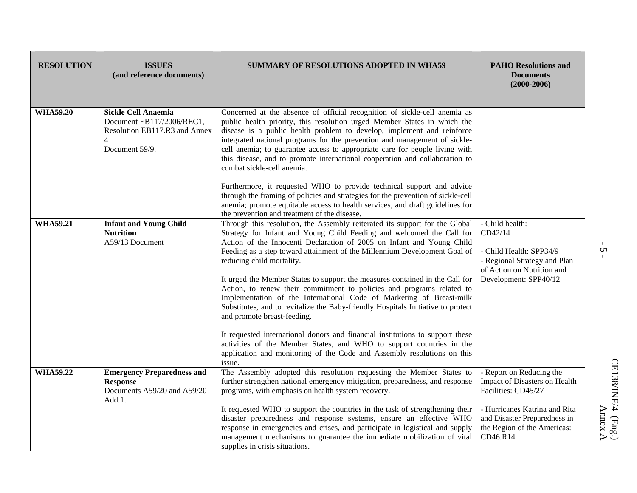| <b>RESOLUTION</b> | <b>ISSUES</b><br>(and reference documents)                                                                                   | SUMMARY OF RESOLUTIONS ADOPTED IN WHA59                                                                                                                                                                                                                                                                                                                                                                                                                                                                                                                                                                                                                                                                                                                                                                                                                                                                                                   | <b>PAHO Resolutions and</b><br><b>Documents</b><br>$(2000 - 2006)$                                                                                |
|-------------------|------------------------------------------------------------------------------------------------------------------------------|-------------------------------------------------------------------------------------------------------------------------------------------------------------------------------------------------------------------------------------------------------------------------------------------------------------------------------------------------------------------------------------------------------------------------------------------------------------------------------------------------------------------------------------------------------------------------------------------------------------------------------------------------------------------------------------------------------------------------------------------------------------------------------------------------------------------------------------------------------------------------------------------------------------------------------------------|---------------------------------------------------------------------------------------------------------------------------------------------------|
| <b>WHA59.20</b>   | <b>Sickle Cell Anaemia</b><br>Document EB117/2006/REC1,<br>Resolution EB117.R3 and Annex<br>$\overline{4}$<br>Document 59/9. | Concerned at the absence of official recognition of sickle-cell anemia as<br>public health priority, this resolution urged Member States in which the<br>disease is a public health problem to develop, implement and reinforce<br>integrated national programs for the prevention and management of sickle-<br>cell anemia; to guarantee access to appropriate care for people living with<br>this disease, and to promote international cooperation and collaboration to<br>combat sickle-cell anemia.                                                                                                                                                                                                                                                                                                                                                                                                                                  |                                                                                                                                                   |
|                   |                                                                                                                              | Furthermore, it requested WHO to provide technical support and advice<br>through the framing of policies and strategies for the prevention of sickle-cell<br>anemia; promote equitable access to health services, and draft guidelines for<br>the prevention and treatment of the disease.                                                                                                                                                                                                                                                                                                                                                                                                                                                                                                                                                                                                                                                |                                                                                                                                                   |
| <b>WHA59.21</b>   | <b>Infant and Young Child</b><br><b>Nutrition</b><br>A59/13 Document                                                         | Through this resolution, the Assembly reiterated its support for the Global<br>Strategy for Infant and Young Child Feeding and welcomed the Call for<br>Action of the Innocenti Declaration of 2005 on Infant and Young Child<br>Feeding as a step toward attainment of the Millennium Development Goal of<br>reducing child mortality.<br>It urged the Member States to support the measures contained in the Call for<br>Action, to renew their commitment to policies and programs related to<br>Implementation of the International Code of Marketing of Breast-milk<br>Substitutes, and to revitalize the Baby-friendly Hospitals Initiative to protect<br>and promote breast-feeding.<br>It requested international donors and financial institutions to support these<br>activities of the Member States, and WHO to support countries in the<br>application and monitoring of the Code and Assembly resolutions on this<br>issue. | - Child health:<br>CD42/14<br>- Child Health: SPP34/9<br>- Regional Strategy and Plan<br>of Action on Nutrition and<br>Development: SPP40/12      |
| <b>WHA59.22</b>   | <b>Emergency Preparedness and</b><br><b>Response</b><br>Documents A59/20 and A59/20<br>Add.1.                                | The Assembly adopted this resolution requesting the Member States to<br>further strengthen national emergency mitigation, preparedness, and response<br>programs, with emphasis on health system recovery.<br>It requested WHO to support the countries in the task of strengthening their<br>disaster preparedness and response systems, ensure an effective WHO                                                                                                                                                                                                                                                                                                                                                                                                                                                                                                                                                                         | - Report on Reducing the<br>Impact of Disasters on Health<br>Facilities: CD45/27<br>- Hurricanes Katrina and Rita<br>and Disaster Preparedness in |
|                   |                                                                                                                              | response in emergencies and crises, and participate in logistical and supply<br>management mechanisms to guarantee the immediate mobilization of vital<br>supplies in crisis situations.                                                                                                                                                                                                                                                                                                                                                                                                                                                                                                                                                                                                                                                                                                                                                  | the Region of the Americas:<br>CD46.R14                                                                                                           |

 $\frac{1}{2}$  -

 $\Delta$ hnex A $\Delta$ hnex A  $\begin{array}{ll} \mathrm{CE138/INF/4}\quad(\mathrm{Eng.})\\ \mathrm{Annex}\;\mathrm{A}\; \end{array}$ CE138/INF/4 (Eng.)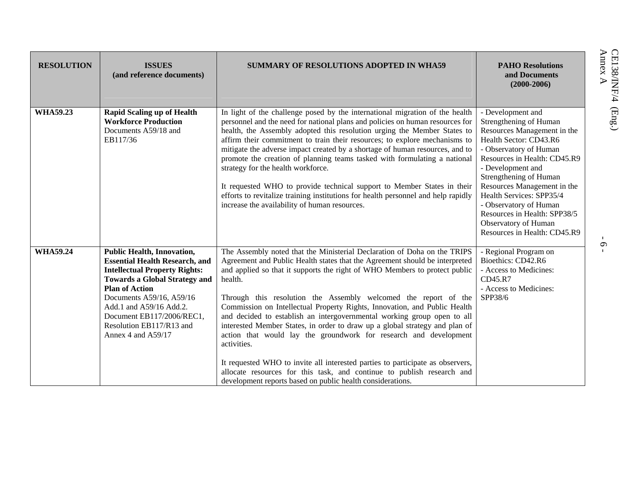| <b>RESOLUTION</b> | <b>ISSUES</b><br>(and reference documents)                                                                                                                                                                                                                                                                                | <b>SUMMARY OF RESOLUTIONS ADOPTED IN WHA59</b>                                                                                                                                                                                                                                                                                                                                                                                                                                                                                                                                                                                                                                                                                                                                                                                                                           | <b>PAHO Resolutions</b><br>and Documents<br>$(2000 - 2006)$                                                                                                                                                                                                                                                                                                                                | CE138/INF/4<br>Annex A |
|-------------------|---------------------------------------------------------------------------------------------------------------------------------------------------------------------------------------------------------------------------------------------------------------------------------------------------------------------------|--------------------------------------------------------------------------------------------------------------------------------------------------------------------------------------------------------------------------------------------------------------------------------------------------------------------------------------------------------------------------------------------------------------------------------------------------------------------------------------------------------------------------------------------------------------------------------------------------------------------------------------------------------------------------------------------------------------------------------------------------------------------------------------------------------------------------------------------------------------------------|--------------------------------------------------------------------------------------------------------------------------------------------------------------------------------------------------------------------------------------------------------------------------------------------------------------------------------------------------------------------------------------------|------------------------|
| <b>WHA59.23</b>   | <b>Rapid Scaling up of Health</b><br><b>Workforce Production</b><br>Documents A59/18 and<br>EB117/36                                                                                                                                                                                                                      | In light of the challenge posed by the international migration of the health<br>personnel and the need for national plans and policies on human resources for<br>health, the Assembly adopted this resolution urging the Member States to<br>affirm their commitment to train their resources; to explore mechanisms to<br>mitigate the adverse impact created by a shortage of human resources, and to<br>promote the creation of planning teams tasked with formulating a national<br>strategy for the health workforce.<br>It requested WHO to provide technical support to Member States in their<br>efforts to revitalize training institutions for health personnel and help rapidly<br>increase the availability of human resources.                                                                                                                              | - Development and<br>Strengthening of Human<br>Resources Management in the<br>Health Sector: CD43.R6<br>- Observatory of Human<br>Resources in Health: CD45.R9<br>- Development and<br>Strengthening of Human<br>Resources Management in the<br>Health Services: SPP35/4<br>- Observatory of Human<br>Resources in Health: SPP38/5<br>Observatory of Human<br>Resources in Health: CD45.R9 |                        |
| <b>WHA59.24</b>   | <b>Public Health, Innovation,</b><br><b>Essential Health Research, and</b><br><b>Intellectual Property Rights:</b><br><b>Towards a Global Strategy and</b><br><b>Plan of Action</b><br>Documents A59/16, A59/16<br>Add.1 and A59/16 Add.2.<br>Document EB117/2006/REC1,<br>Resolution EB117/R13 and<br>Annex 4 and A59/17 | The Assembly noted that the Ministerial Declaration of Doha on the TRIPS<br>Agreement and Public Health states that the Agreement should be interpreted<br>and applied so that it supports the right of WHO Members to protect public<br>health.<br>Through this resolution the Assembly welcomed the report of the<br>Commission on Intellectual Property Rights, Innovation, and Public Health<br>and decided to establish an intergovernmental working group open to all<br>interested Member States, in order to draw up a global strategy and plan of<br>action that would lay the groundwork for research and development<br>activities.<br>It requested WHO to invite all interested parties to participate as observers,<br>allocate resources for this task, and continue to publish research and<br>development reports based on public health considerations. | - Regional Program on<br>Bioethics: CD42.R6<br>- Access to Medicines:<br>CD45.R7<br>- Access to Medicines:<br>SPP38/6                                                                                                                                                                                                                                                                      | $\sigma$               |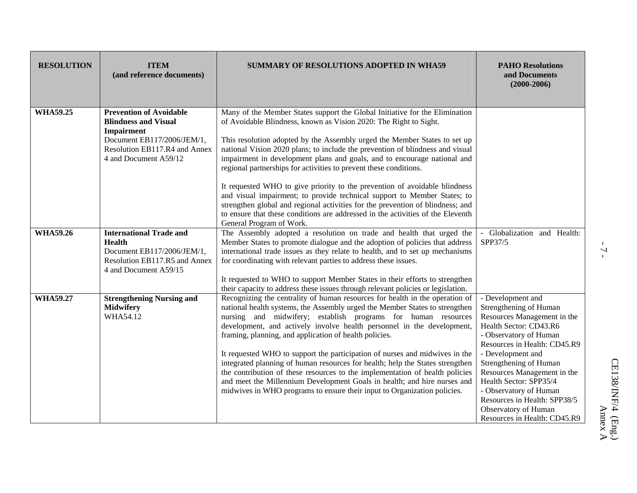| <b>RESOLUTION</b> | <b>ITEM</b><br>(and reference documents)                                                                                                                            | <b>SUMMARY OF RESOLUTIONS ADOPTED IN WHA59</b>                                                                                                                                                                                                                                                                                                                                                                                                                                                                                                                                                                                                                                                                                                                           | <b>PAHO Resolutions</b><br>and Documents<br>$(2000 - 2006)$                                                                                                                                                                                                                                                                                                                              |
|-------------------|---------------------------------------------------------------------------------------------------------------------------------------------------------------------|--------------------------------------------------------------------------------------------------------------------------------------------------------------------------------------------------------------------------------------------------------------------------------------------------------------------------------------------------------------------------------------------------------------------------------------------------------------------------------------------------------------------------------------------------------------------------------------------------------------------------------------------------------------------------------------------------------------------------------------------------------------------------|------------------------------------------------------------------------------------------------------------------------------------------------------------------------------------------------------------------------------------------------------------------------------------------------------------------------------------------------------------------------------------------|
| <b>WHA59.25</b>   | <b>Prevention of Avoidable</b><br><b>Blindness and Visual</b><br>Impairment<br>Document EB117/2006/JEM/1,<br>Resolution EB117.R4 and Annex<br>4 and Document A59/12 | Many of the Member States support the Global Initiative for the Elimination<br>of Avoidable Blindness, known as Vision 2020: The Right to Sight.<br>This resolution adopted by the Assembly urged the Member States to set up<br>national Vision 2020 plans; to include the prevention of blindness and visual<br>impairment in development plans and goals, and to encourage national and<br>regional partnerships for activities to prevent these conditions.                                                                                                                                                                                                                                                                                                          |                                                                                                                                                                                                                                                                                                                                                                                          |
|                   |                                                                                                                                                                     | It requested WHO to give priority to the prevention of avoidable blindness<br>and visual impairment; to provide technical support to Member States; to<br>strengthen global and regional activities for the prevention of blindness; and<br>to ensure that these conditions are addressed in the activities of the Eleventh<br>General Program of Work.                                                                                                                                                                                                                                                                                                                                                                                                                  |                                                                                                                                                                                                                                                                                                                                                                                          |
| <b>WHA59.26</b>   | <b>International Trade and</b><br><b>Health</b><br>Document EB117/2006/JEM/1,<br>Resolution EB117.R5 and Annex<br>4 and Document A59/15                             | The Assembly adopted a resolution on trade and health that urged the<br>Member States to promote dialogue and the adoption of policies that address<br>international trade issues as they relate to health, and to set up mechanisms<br>for coordinating with relevant parties to address these issues.<br>It requested to WHO to support Member States in their efforts to strengthen<br>their capacity to address these issues through relevant policies or legislation.                                                                                                                                                                                                                                                                                               | - Globalization and Health:<br>SPP37/5                                                                                                                                                                                                                                                                                                                                                   |
| <b>WHA59.27</b>   | <b>Strengthening Nursing and</b><br><b>Midwifery</b><br>WHA54.12                                                                                                    | Recognizing the centrality of human resources for health in the operation of<br>national health systems, the Assembly urged the Member States to strengthen<br>nursing and midwifery; establish programs for human resources<br>development, and actively involve health personnel in the development,<br>framing, planning, and application of health policies.<br>It requested WHO to support the participation of nurses and midwives in the<br>integrated planning of human resources for health; help the States strengthen<br>the contribution of these resources to the implementation of health policies<br>and meet the Millennium Development Goals in health; and hire nurses and<br>midwives in WHO programs to ensure their input to Organization policies. | - Development and<br>Strengthening of Human<br>Resources Management in the<br>Health Sector: CD43.R6<br>- Observatory of Human<br>Resources in Health: CD45.R9<br>- Development and<br>Strengthening of Human<br>Resources Management in the<br>Health Sector: SPP35/4<br>- Observatory of Human<br>Resources in Health: SPP38/5<br>Observatory of Human<br>Resources in Health: CD45.R9 |

 $-7-$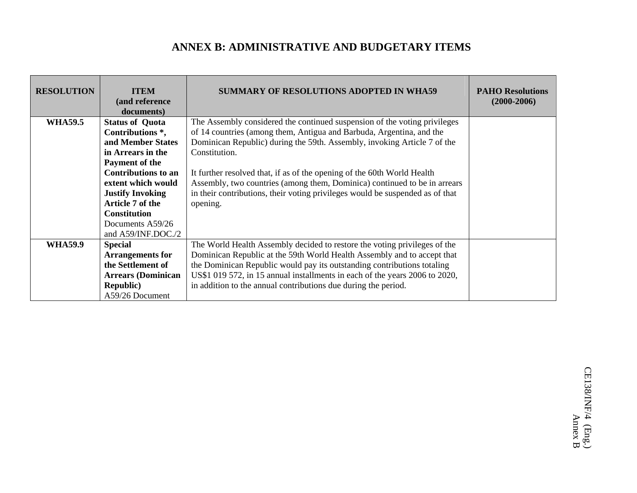## **ANNEX B: ADMINISTRATIVE AND BUDGETARY ITEMS**

| <b>RESOLUTION</b> | <b>ITEM</b><br>(and reference<br>documents) | <b>SUMMARY OF RESOLUTIONS ADOPTED IN WHA59</b>                                | <b>PAHO Resolutions</b><br>$(2000 - 2006)$ |
|-------------------|---------------------------------------------|-------------------------------------------------------------------------------|--------------------------------------------|
| <b>WHA59.5</b>    | <b>Status of Quota</b>                      | The Assembly considered the continued suspension of the voting privileges     |                                            |
|                   | Contributions <sup>*</sup> ,                | of 14 countries (among them, Antigua and Barbuda, Argentina, and the          |                                            |
|                   | and Member States                           | Dominican Republic) during the 59th. Assembly, invoking Article 7 of the      |                                            |
|                   | in Arrears in the                           | Constitution.                                                                 |                                            |
|                   | Payment of the                              |                                                                               |                                            |
|                   | <b>Contributions to an</b>                  | It further resolved that, if as of the opening of the 60th World Health       |                                            |
|                   | extent which would                          | Assembly, two countries (among them, Dominica) continued to be in arrears     |                                            |
|                   | <b>Justify Invoking</b>                     | in their contributions, their voting privileges would be suspended as of that |                                            |
|                   | Article 7 of the                            | opening.                                                                      |                                            |
|                   | <b>Constitution</b>                         |                                                                               |                                            |
|                   | Documents A59/26                            |                                                                               |                                            |
|                   | and A59/INF.DOC./2                          |                                                                               |                                            |
| <b>WHA59.9</b>    | <b>Special</b>                              | The World Health Assembly decided to restore the voting privileges of the     |                                            |
|                   | <b>Arrangements for</b>                     | Dominican Republic at the 59th World Health Assembly and to accept that       |                                            |
|                   | the Settlement of                           | the Dominican Republic would pay its outstanding contributions totaling       |                                            |
|                   | <b>Arrears (Dominican</b>                   | US\$1 019 572, in 15 annual installments in each of the years 2006 to 2020,   |                                            |
|                   | <b>Republic</b> )                           | in addition to the annual contributions due during the period.                |                                            |
|                   | A59/26 Document                             |                                                                               |                                            |